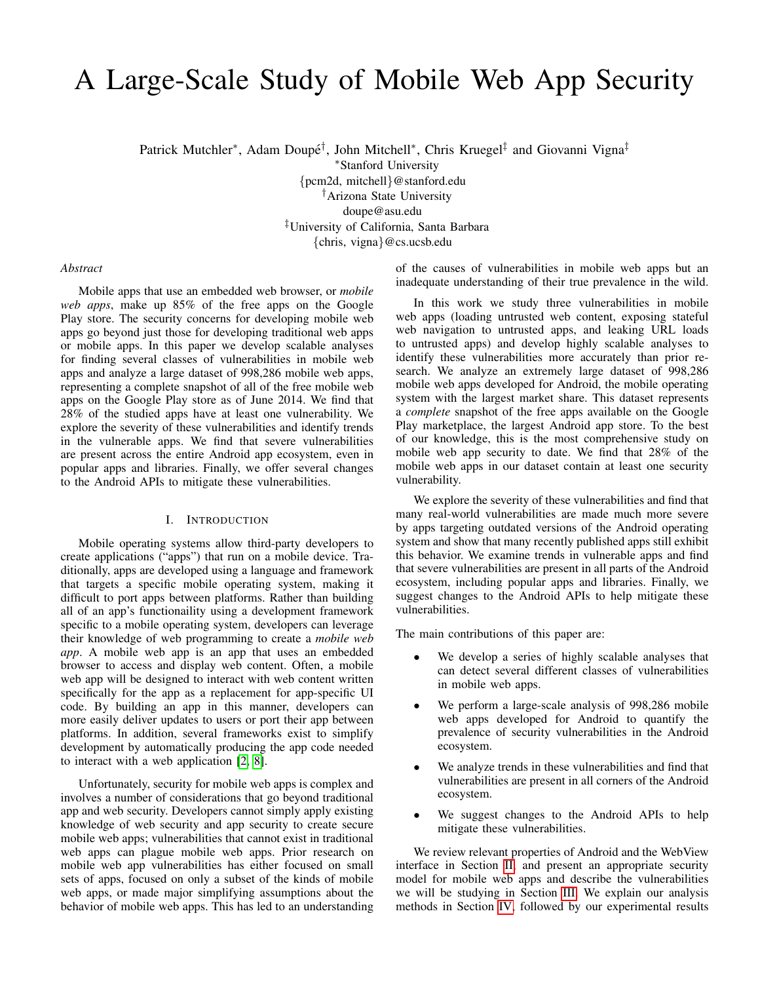# A Large-Scale Study of Mobile Web App Security

Patrick Mutchler<sup>∗</sup>, Adam Doupé<sup>†</sup>, John Mitchell<sup>∗</sup>, Chris Kruegel<sup>‡</sup> and Giovanni Vigna<sup>‡</sup>

<sup>∗</sup>Stanford University

{pcm2d, mitchell}@stanford.edu †Arizona State University doupe@asu.edu ‡University of California, Santa Barbara {chris, vigna}@cs.ucsb.edu

# *Abstract*

Mobile apps that use an embedded web browser, or *mobile web apps*, make up 85% of the free apps on the Google Play store. The security concerns for developing mobile web apps go beyond just those for developing traditional web apps or mobile apps. In this paper we develop scalable analyses for finding several classes of vulnerabilities in mobile web apps and analyze a large dataset of 998,286 mobile web apps, representing a complete snapshot of all of the free mobile web apps on the Google Play store as of June 2014. We find that 28% of the studied apps have at least one vulnerability. We explore the severity of these vulnerabilities and identify trends in the vulnerable apps. We find that severe vulnerabilities are present across the entire Android app ecosystem, even in popular apps and libraries. Finally, we offer several changes to the Android APIs to mitigate these vulnerabilities.

# I. INTRODUCTION

Mobile operating systems allow third-party developers to create applications ("apps") that run on a mobile device. Traditionally, apps are developed using a language and framework that targets a specific mobile operating system, making it difficult to port apps between platforms. Rather than building all of an app's functionaility using a development framework specific to a mobile operating system, developers can leverage their knowledge of web programming to create a *mobile web app*. A mobile web app is an app that uses an embedded browser to access and display web content. Often, a mobile web app will be designed to interact with web content written specifically for the app as a replacement for app-specific UI code. By building an app in this manner, developers can more easily deliver updates to users or port their app between platforms. In addition, several frameworks exist to simplify development by automatically producing the app code needed to interact with a web application [\[2,](#page-9-0) [8\]](#page-9-1).

Unfortunately, security for mobile web apps is complex and involves a number of considerations that go beyond traditional app and web security. Developers cannot simply apply existing knowledge of web security and app security to create secure mobile web apps; vulnerabilities that cannot exist in traditional web apps can plague mobile web apps. Prior research on mobile web app vulnerabilities has either focused on small sets of apps, focused on only a subset of the kinds of mobile web apps, or made major simplifying assumptions about the behavior of mobile web apps. This has led to an understanding of the causes of vulnerabilities in mobile web apps but an inadequate understanding of their true prevalence in the wild.

In this work we study three vulnerabilities in mobile web apps (loading untrusted web content, exposing stateful web navigation to untrusted apps, and leaking URL loads to untrusted apps) and develop highly scalable analyses to identify these vulnerabilities more accurately than prior research. We analyze an extremely large dataset of 998,286 mobile web apps developed for Android, the mobile operating system with the largest market share. This dataset represents a *complete* snapshot of the free apps available on the Google Play marketplace, the largest Android app store. To the best of our knowledge, this is the most comprehensive study on mobile web app security to date. We find that 28% of the mobile web apps in our dataset contain at least one security vulnerability.

We explore the severity of these vulnerabilities and find that many real-world vulnerabilities are made much more severe by apps targeting outdated versions of the Android operating system and show that many recently published apps still exhibit this behavior. We examine trends in vulnerable apps and find that severe vulnerabilities are present in all parts of the Android ecosystem, including popular apps and libraries. Finally, we suggest changes to the Android APIs to help mitigate these vulnerabilities.

The main contributions of this paper are:

- We develop a series of highly scalable analyses that can detect several different classes of vulnerabilities in mobile web apps.
- We perform a large-scale analysis of 998,286 mobile web apps developed for Android to quantify the prevalence of security vulnerabilities in the Android ecosystem.
- We analyze trends in these vulnerabilities and find that vulnerabilities are present in all corners of the Android ecosystem.
- We suggest changes to the Android APIs to help mitigate these vulnerabilities.

We review relevant properties of Android and the WebView interface in Section [II,](#page-1-0) and present an appropriate security model for mobile web apps and describe the vulnerabilities we will be studying in Section [III.](#page-2-0) We explain our analysis methods in Section [IV,](#page-3-0) followed by our experimental results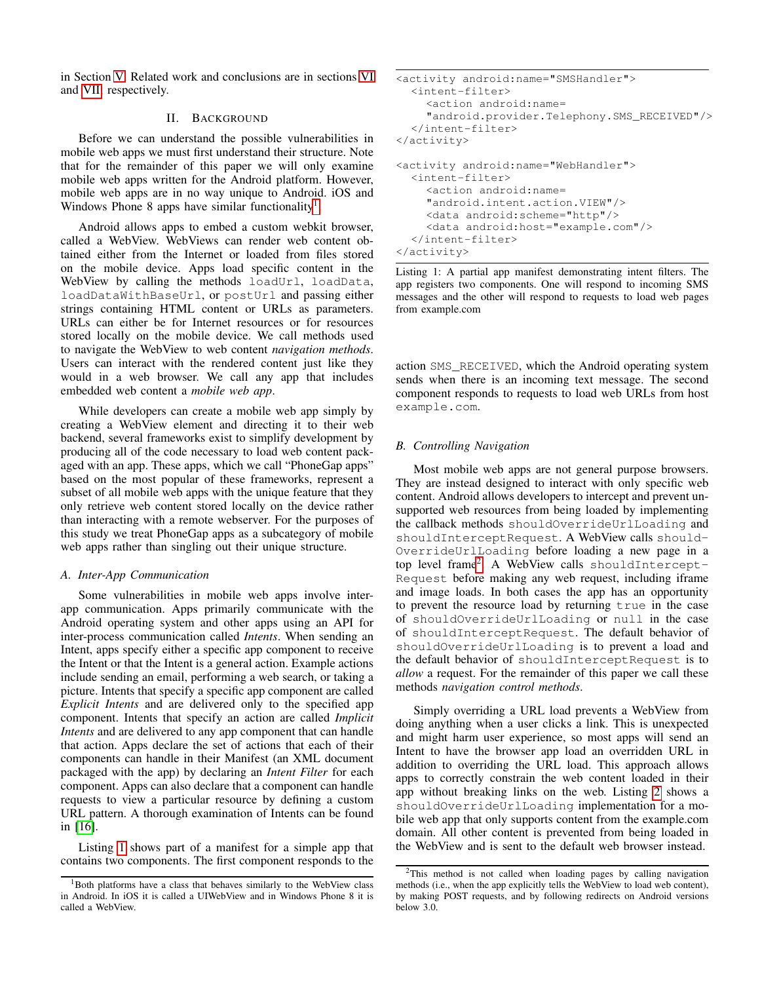in Section [V.](#page-5-0) Related work and conclusions are in sections [VI](#page-8-0) and [VII,](#page-9-2) respectively.

# II. BACKGROUND

<span id="page-1-0"></span>Before we can understand the possible vulnerabilities in mobile web apps we must first understand their structure. Note that for the remainder of this paper we will only examine mobile web apps written for the Android platform. However, mobile web apps are in no way unique to Android. iOS and Windows Phone 8 apps have similar functionality<sup>[1](#page-1-1)</sup>.

Android allows apps to embed a custom webkit browser, called a WebView. WebViews can render web content obtained either from the Internet or loaded from files stored on the mobile device. Apps load specific content in the WebView by calling the methods loadUrl, loadData, loadDataWithBaseUrl, or postUrl and passing either strings containing HTML content or URLs as parameters. URLs can either be for Internet resources or for resources stored locally on the mobile device. We call methods used to navigate the WebView to web content *navigation methods*. Users can interact with the rendered content just like they would in a web browser. We call any app that includes embedded web content a *mobile web app*.

While developers can create a mobile web app simply by creating a WebView element and directing it to their web backend, several frameworks exist to simplify development by producing all of the code necessary to load web content packaged with an app. These apps, which we call "PhoneGap apps" based on the most popular of these frameworks, represent a subset of all mobile web apps with the unique feature that they only retrieve web content stored locally on the device rather than interacting with a remote webserver. For the purposes of this study we treat PhoneGap apps as a subcategory of mobile web apps rather than singling out their unique structure.

# <span id="page-1-5"></span>*A. Inter-App Communication*

Some vulnerabilities in mobile web apps involve interapp communication. Apps primarily communicate with the Android operating system and other apps using an API for inter-process communication called *Intents*. When sending an Intent, apps specify either a specific app component to receive the Intent or that the Intent is a general action. Example actions include sending an email, performing a web search, or taking a picture. Intents that specify a specific app component are called *Explicit Intents* and are delivered only to the specified app component. Intents that specify an action are called *Implicit Intents* and are delivered to any app component that can handle that action. Apps declare the set of actions that each of their components can handle in their Manifest (an XML document packaged with the app) by declaring an *Intent Filter* for each component. Apps can also declare that a component can handle requests to view a particular resource by defining a custom URL pattern. A thorough examination of Intents can be found in [\[16\]](#page-9-3).

Listing [1](#page-1-2) shows part of a manifest for a simple app that contains two components. The first component responds to the

```
<activity android:name="SMSHandler">
  <intent-filter>
    <action android:name=
    "android.provider.Telephony.SMS_RECEIVED"/>
  </intent-filter>
</activity>
<activity android:name="WebHandler">
  <intent-filter>
    <action android:name=
    "android.intent.action.VIEW"/>
    <data android:scheme="http"/>
    <data android:host="example.com"/>
  </intent-filter>
</activity>
```
Listing 1: A partial app manifest demonstrating intent filters. The app registers two components. One will respond to incoming SMS messages and the other will respond to requests to load web pages from example.com

action SMS\_RECEIVED, which the Android operating system sends when there is an incoming text message. The second component responds to requests to load web URLs from host example.com.

# <span id="page-1-4"></span>*B. Controlling Navigation*

Most mobile web apps are not general purpose browsers. They are instead designed to interact with only specific web content. Android allows developers to intercept and prevent unsupported web resources from being loaded by implementing the callback methods shouldOverrideUrlLoading and shouldInterceptRequest. A WebView calls should-OverrideUrlLoading before loading a new page in a top level frame[2](#page-1-3) . A WebView calls shouldIntercept-Request before making any web request, including iframe and image loads. In both cases the app has an opportunity to prevent the resource load by returning true in the case of shouldOverrideUrlLoading or null in the case of shouldInterceptRequest. The default behavior of shouldOverrideUrlLoading is to prevent a load and the default behavior of shouldInterceptRequest is to *allow* a request. For the remainder of this paper we call these methods *navigation control methods*.

Simply overriding a URL load prevents a WebView from doing anything when a user clicks a link. This is unexpected and might harm user experience, so most apps will send an Intent to have the browser app load an overridden URL in addition to overriding the URL load. This approach allows apps to correctly constrain the web content loaded in their app without breaking links on the web. Listing [2](#page-2-1) shows a shouldOverrideUrlLoading implementation for a mobile web app that only supports content from the example.com domain. All other content is prevented from being loaded in the WebView and is sent to the default web browser instead.

<span id="page-1-1"></span><sup>&</sup>lt;sup>1</sup>Both platforms have a class that behaves similarly to the WebView class in Android. In iOS it is called a UIWebView and in Windows Phone 8 it is called a WebView.

<span id="page-1-3"></span><sup>2</sup>This method is not called when loading pages by calling navigation methods (i.e., when the app explicitly tells the WebView to load web content), by making POST requests, and by following redirects on Android versions below 3.0.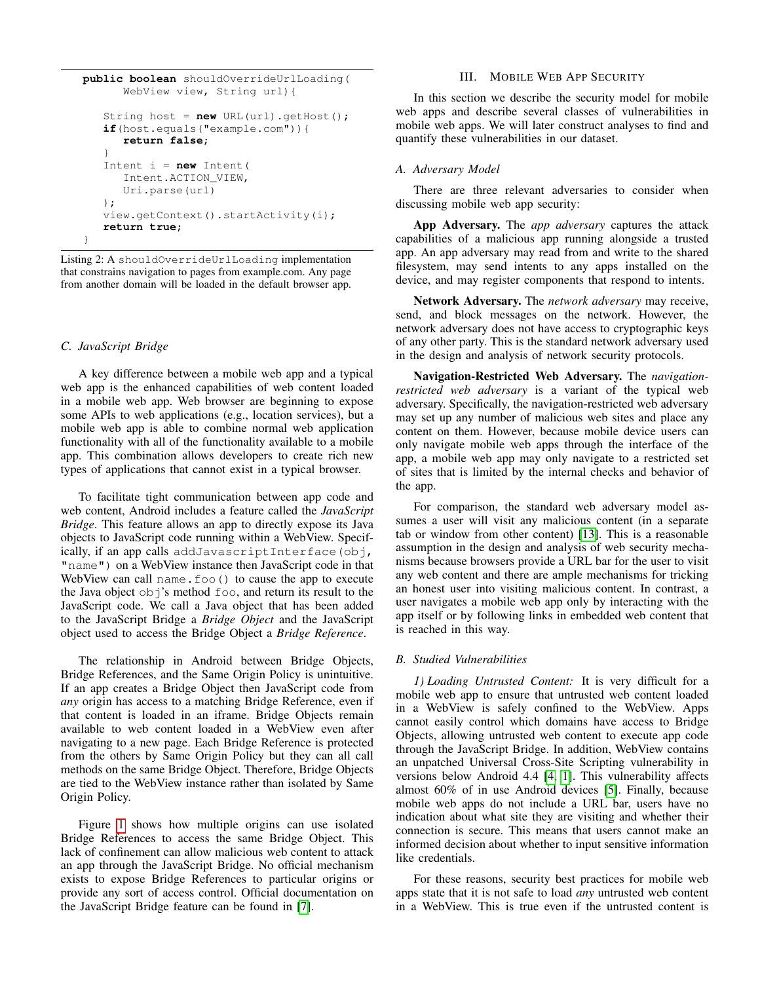```
public boolean shouldOverrideUrlLoading(
      WebView view, String url){
   String host = new URL(url).getHost();
   if(host.equals("example.com")){
      return false;
   }
   Intent i = new Intent(
      Intent.ACTION_VIEW,
      Uri.parse(url)
   );
   view.getContext().startActivity(i);
   return true;
}
```
Listing 2: A shouldOverrideUrlLoading implementation that constrains navigation to pages from example.com. Any page from another domain will be loaded in the default browser app.

## *C. JavaScript Bridge*

A key difference between a mobile web app and a typical web app is the enhanced capabilities of web content loaded in a mobile web app. Web browser are beginning to expose some APIs to web applications (e.g., location services), but a mobile web app is able to combine normal web application functionality with all of the functionality available to a mobile app. This combination allows developers to create rich new types of applications that cannot exist in a typical browser.

To facilitate tight communication between app code and web content, Android includes a feature called the *JavaScript Bridge*. This feature allows an app to directly expose its Java objects to JavaScript code running within a WebView. Specifically, if an app calls addJavascriptInterface(obj, "name") on a WebView instance then JavaScript code in that WebView can call name.foo() to cause the app to execute the Java object  $\circ$ bj's method  $f \circ \circ$ , and return its result to the JavaScript code. We call a Java object that has been added to the JavaScript Bridge a *Bridge Object* and the JavaScript object used to access the Bridge Object a *Bridge Reference*.

The relationship in Android between Bridge Objects, Bridge References, and the Same Origin Policy is unintuitive. If an app creates a Bridge Object then JavaScript code from *any* origin has access to a matching Bridge Reference, even if that content is loaded in an iframe. Bridge Objects remain available to web content loaded in a WebView even after navigating to a new page. Each Bridge Reference is protected from the others by Same Origin Policy but they can all call methods on the same Bridge Object. Therefore, Bridge Objects are tied to the WebView instance rather than isolated by Same Origin Policy.

Figure [1](#page-3-1) shows how multiple origins can use isolated Bridge References to access the same Bridge Object. This lack of confinement can allow malicious web content to attack an app through the JavaScript Bridge. No official mechanism exists to expose Bridge References to particular origins or provide any sort of access control. Official documentation on the JavaScript Bridge feature can be found in [\[7\]](#page-9-4).

# III. MOBILE WEB APP SECURITY

<span id="page-2-0"></span>In this section we describe the security model for mobile web apps and describe several classes of vulnerabilities in mobile web apps. We will later construct analyses to find and quantify these vulnerabilities in our dataset.

## *A. Adversary Model*

There are three relevant adversaries to consider when discussing mobile web app security:

App Adversary. The *app adversary* captures the attack capabilities of a malicious app running alongside a trusted app. An app adversary may read from and write to the shared filesystem, may send intents to any apps installed on the device, and may register components that respond to intents.

Network Adversary. The *network adversary* may receive, send, and block messages on the network. However, the network adversary does not have access to cryptographic keys of any other party. This is the standard network adversary used in the design and analysis of network security protocols.

Navigation-Restricted Web Adversary. The *navigationrestricted web adversary* is a variant of the typical web adversary. Specifically, the navigation-restricted web adversary may set up any number of malicious web sites and place any content on them. However, because mobile device users can only navigate mobile web apps through the interface of the app, a mobile web app may only navigate to a restricted set of sites that is limited by the internal checks and behavior of the app.

For comparison, the standard web adversary model assumes a user will visit any malicious content (in a separate tab or window from other content) [\[13\]](#page-9-5). This is a reasonable assumption in the design and analysis of web security mechanisms because browsers provide a URL bar for the user to visit any web content and there are ample mechanisms for tricking an honest user into visiting malicious content. In contrast, a user navigates a mobile web app only by interacting with the app itself or by following links in embedded web content that is reached in this way.

## *B. Studied Vulnerabilities*

*1) Loading Untrusted Content:* It is very difficult for a mobile web app to ensure that untrusted web content loaded in a WebView is safely confined to the WebView. Apps cannot easily control which domains have access to Bridge Objects, allowing untrusted web content to execute app code through the JavaScript Bridge. In addition, WebView contains an unpatched Universal Cross-Site Scripting vulnerability in versions below Android 4.4 [\[4,](#page-9-6) [1\]](#page-9-7). This vulnerability affects almost 60% of in use Android devices [\[5\]](#page-9-8). Finally, because mobile web apps do not include a URL bar, users have no indication about what site they are visiting and whether their connection is secure. This means that users cannot make an informed decision about whether to input sensitive information like credentials.

For these reasons, security best practices for mobile web apps state that it is not safe to load *any* untrusted web content in a WebView. This is true even if the untrusted content is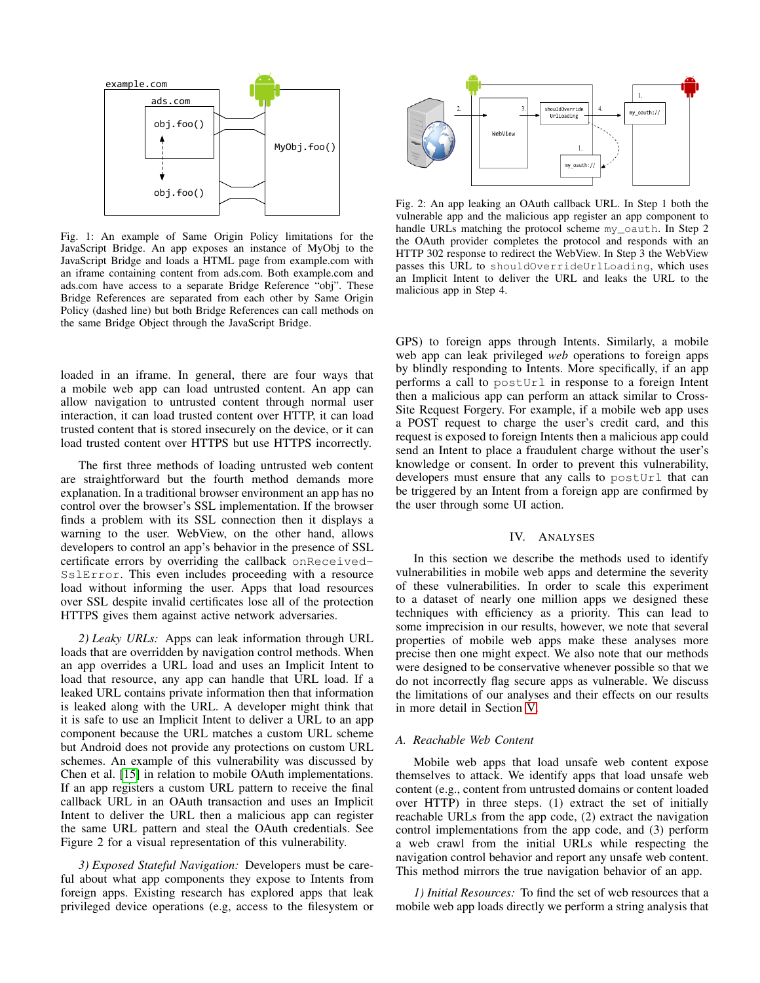<span id="page-3-1"></span>

Fig. 1: An example of Same Origin Policy limitations for the JavaScript Bridge. An app exposes an instance of MyObj to the JavaScript Bridge and loads a HTML page from example.com with an iframe containing content from ads.com. Both example.com and ads.com have access to a separate Bridge Reference "obj". These Bridge References are separated from each other by Same Origin Policy (dashed line) but both Bridge References can call methods on the same Bridge Object through the JavaScript Bridge.

loaded in an iframe. In general, there are four ways that a mobile web app can load untrusted content. An app can allow navigation to untrusted content through normal user interaction, it can load trusted content over HTTP, it can load trusted content that is stored insecurely on the device, or it can load trusted content over HTTPS but use HTTPS incorrectly.

The first three methods of loading untrusted web content are straightforward but the fourth method demands more explanation. In a traditional browser environment an app has no control over the browser's SSL implementation. If the browser finds a problem with its SSL connection then it displays a warning to the user. WebView, on the other hand, allows developers to control an app's behavior in the presence of SSL certificate errors by overriding the callback onReceived-SslError. This even includes proceeding with a resource load without informing the user. Apps that load resources over SSL despite invalid certificates lose all of the protection HTTPS gives them against active network adversaries.

<span id="page-3-2"></span>*2) Leaky URLs:* Apps can leak information through URL loads that are overridden by navigation control methods. When an app overrides a URL load and uses an Implicit Intent to load that resource, any app can handle that URL load. If a leaked URL contains private information then that information is leaked along with the URL. A developer might think that it is safe to use an Implicit Intent to deliver a URL to an app component because the URL matches a custom URL scheme but Android does not provide any protections on custom URL schemes. An example of this vulnerability was discussed by Chen et al. [\[15\]](#page-9-9) in relation to mobile OAuth implementations. If an app registers a custom URL pattern to receive the final callback URL in an OAuth transaction and uses an Implicit Intent to deliver the URL then a malicious app can register the same URL pattern and steal the OAuth credentials. See Figure 2 for a visual representation of this vulnerability.

*3) Exposed Stateful Navigation:* Developers must be careful about what app components they expose to Intents from foreign apps. Existing research has explored apps that leak privileged device operations (e.g, access to the filesystem or



Fig. 2: An app leaking an OAuth callback URL. In Step 1 both the vulnerable app and the malicious app register an app component to handle URLs matching the protocol scheme my\_oauth. In Step 2 the OAuth provider completes the protocol and responds with an HTTP 302 response to redirect the WebView. In Step 3 the WebView passes this URL to shouldOverrideUrlLoading, which uses an Implicit Intent to deliver the URL and leaks the URL to the malicious app in Step 4.

GPS) to foreign apps through Intents. Similarly, a mobile web app can leak privileged *web* operations to foreign apps by blindly responding to Intents. More specifically, if an app performs a call to postUrl in response to a foreign Intent then a malicious app can perform an attack similar to Cross-Site Request Forgery. For example, if a mobile web app uses a POST request to charge the user's credit card, and this request is exposed to foreign Intents then a malicious app could send an Intent to place a fraudulent charge without the user's knowledge or consent. In order to prevent this vulnerability, developers must ensure that any calls to postUrl that can be triggered by an Intent from a foreign app are confirmed by the user through some UI action.

#### IV. ANALYSES

<span id="page-3-0"></span>In this section we describe the methods used to identify vulnerabilities in mobile web apps and determine the severity of these vulnerabilities. In order to scale this experiment to a dataset of nearly one million apps we designed these techniques with efficiency as a priority. This can lead to some imprecision in our results, however, we note that several properties of mobile web apps make these analyses more precise then one might expect. We also note that our methods were designed to be conservative whenever possible so that we do not incorrectly flag secure apps as vulnerable. We discuss the limitations of our analyses and their effects on our results in more detail in Section [V.](#page-5-0)

## *A. Reachable Web Content*

Mobile web apps that load unsafe web content expose themselves to attack. We identify apps that load unsafe web content (e.g., content from untrusted domains or content loaded over HTTP) in three steps. (1) extract the set of initially reachable URLs from the app code, (2) extract the navigation control implementations from the app code, and (3) perform a web crawl from the initial URLs while respecting the navigation control behavior and report any unsafe web content. This method mirrors the true navigation behavior of an app.

*1) Initial Resources:* To find the set of web resources that a mobile web app loads directly we perform a string analysis that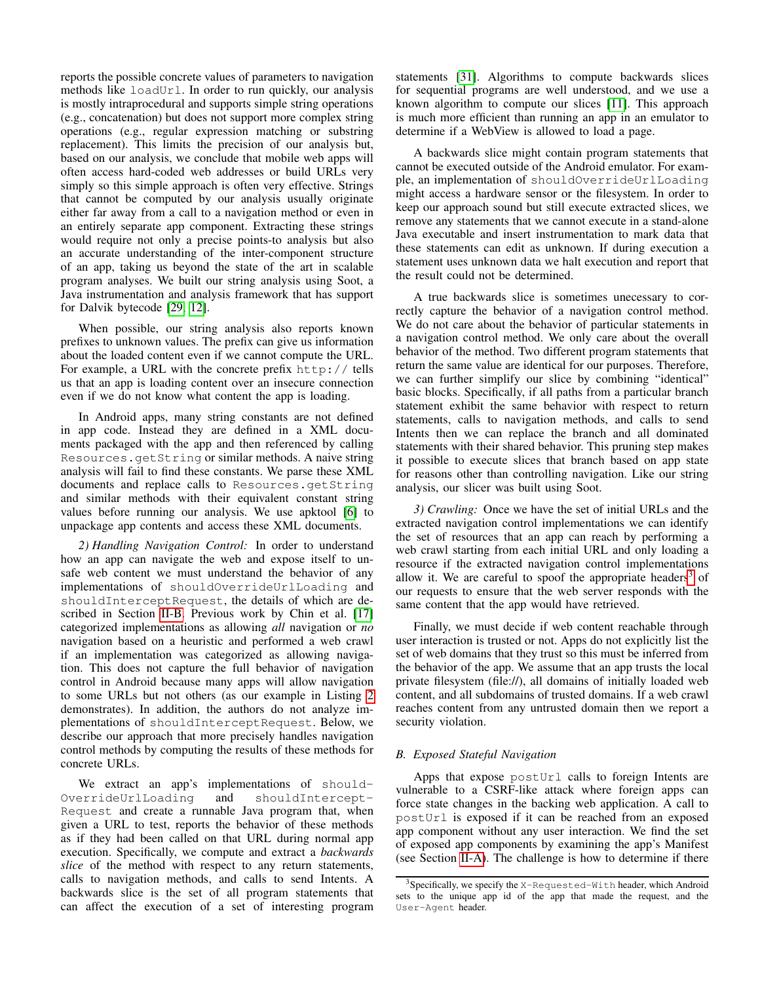reports the possible concrete values of parameters to navigation methods like loadUrl. In order to run quickly, our analysis is mostly intraprocedural and supports simple string operations (e.g., concatenation) but does not support more complex string operations (e.g., regular expression matching or substring replacement). This limits the precision of our analysis but, based on our analysis, we conclude that mobile web apps will often access hard-coded web addresses or build URLs very simply so this simple approach is often very effective. Strings that cannot be computed by our analysis usually originate either far away from a call to a navigation method or even in an entirely separate app component. Extracting these strings would require not only a precise points-to analysis but also an accurate understanding of the inter-component structure of an app, taking us beyond the state of the art in scalable program analyses. We built our string analysis using Soot, a Java instrumentation and analysis framework that has support for Dalvik bytecode [\[29,](#page-10-0) [12\]](#page-9-10).

When possible, our string analysis also reports known prefixes to unknown values. The prefix can give us information about the loaded content even if we cannot compute the URL. For example, a URL with the concrete prefix http:// tells us that an app is loading content over an insecure connection even if we do not know what content the app is loading.

In Android apps, many string constants are not defined in app code. Instead they are defined in a XML documents packaged with the app and then referenced by calling Resources.getString or similar methods. A naive string analysis will fail to find these constants. We parse these XML documents and replace calls to Resources.getString and similar methods with their equivalent constant string values before running our analysis. We use apktool [\[6\]](#page-9-11) to unpackage app contents and access these XML documents.

*2) Handling Navigation Control:* In order to understand how an app can navigate the web and expose itself to unsafe web content we must understand the behavior of any implementations of shouldOverrideUrlLoading and shouldInterceptRequest, the details of which are described in Section [II-B.](#page-1-4) Previous work by Chin et al. [\[17\]](#page-10-1) categorized implementations as allowing *all* navigation or *no* navigation based on a heuristic and performed a web crawl if an implementation was categorized as allowing navigation. This does not capture the full behavior of navigation control in Android because many apps will allow navigation to some URLs but not others (as our example in Listing [2](#page-2-1) demonstrates). In addition, the authors do not analyze implementations of shouldInterceptRequest. Below, we describe our approach that more precisely handles navigation control methods by computing the results of these methods for concrete URLs.

We extract an app's implementations of should-OverrideUrlLoading and shouldIntercept-Request and create a runnable Java program that, when given a URL to test, reports the behavior of these methods as if they had been called on that URL during normal app execution. Specifically, we compute and extract a *backwards slice* of the method with respect to any return statements, calls to navigation methods, and calls to send Intents. A backwards slice is the set of all program statements that can affect the execution of a set of interesting program statements [\[31\]](#page-10-2). Algorithms to compute backwards slices for sequential programs are well understood, and we use a known algorithm to compute our slices [\[11\]](#page-9-12). This approach is much more efficient than running an app in an emulator to determine if a WebView is allowed to load a page.

A backwards slice might contain program statements that cannot be executed outside of the Android emulator. For example, an implementation of shouldOverrideUrlLoading might access a hardware sensor or the filesystem. In order to keep our approach sound but still execute extracted slices, we remove any statements that we cannot execute in a stand-alone Java executable and insert instrumentation to mark data that these statements can edit as unknown. If during execution a statement uses unknown data we halt execution and report that the result could not be determined.

A true backwards slice is sometimes unecessary to correctly capture the behavior of a navigation control method. We do not care about the behavior of particular statements in a navigation control method. We only care about the overall behavior of the method. Two different program statements that return the same value are identical for our purposes. Therefore, we can further simplify our slice by combining "identical" basic blocks. Specifically, if all paths from a particular branch statement exhibit the same behavior with respect to return statements, calls to navigation methods, and calls to send Intents then we can replace the branch and all dominated statements with their shared behavior. This pruning step makes it possible to execute slices that branch based on app state for reasons other than controlling navigation. Like our string analysis, our slicer was built using Soot.

*3) Crawling:* Once we have the set of initial URLs and the extracted navigation control implementations we can identify the set of resources that an app can reach by performing a web crawl starting from each initial URL and only loading a resource if the extracted navigation control implementations allow it. We are careful to spoof the appropriate headers<sup>[3](#page-4-0)</sup> of our requests to ensure that the web server responds with the same content that the app would have retrieved.

Finally, we must decide if web content reachable through user interaction is trusted or not. Apps do not explicitly list the set of web domains that they trust so this must be inferred from the behavior of the app. We assume that an app trusts the local private filesystem (file://), all domains of initially loaded web content, and all subdomains of trusted domains. If a web crawl reaches content from any untrusted domain then we report a security violation.

# *B. Exposed Stateful Navigation*

Apps that expose postUrl calls to foreign Intents are vulnerable to a CSRF-like attack where foreign apps can force state changes in the backing web application. A call to postUrl is exposed if it can be reached from an exposed app component without any user interaction. We find the set of exposed app components by examining the app's Manifest (see Section [II-A\)](#page-1-5). The challenge is how to determine if there

<span id="page-4-0"></span><sup>3</sup>Specifically, we specify the X-Requested-With header, which Android sets to the unique app id of the app that made the request, and the User-Agent header.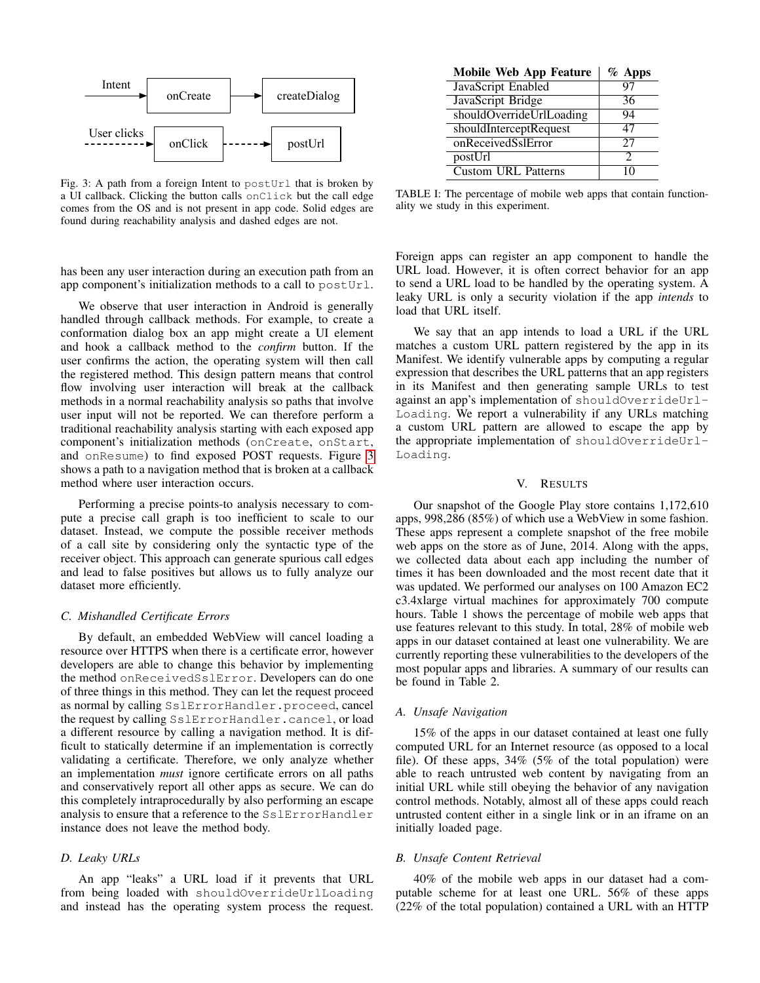<span id="page-5-1"></span>

Fig. 3: A path from a foreign Intent to  $postUr1$  that is broken by a UI callback. Clicking the button calls onClick but the call edge comes from the OS and is not present in app code. Solid edges are found during reachability analysis and dashed edges are not.

|  |  |  | has been any user interaction during an execution path from an |  |  |  |  |
|--|--|--|----------------------------------------------------------------|--|--|--|--|
|  |  |  | app component's initialization methods to a call to postUrl.   |  |  |  |  |

We observe that user interaction in Android is generally handled through callback methods. For example, to create a conformation dialog box an app might create a UI element and hook a callback method to the *confirm* button. If the user confirms the action, the operating system will then call the registered method. This design pattern means that control flow involving user interaction will break at the callback methods in a normal reachability analysis so paths that involve user input will not be reported. We can therefore perform a traditional reachability analysis starting with each exposed app component's initialization methods (onCreate, onStart, and onResume) to find exposed POST requests. Figure [3](#page-5-1) shows a path to a navigation method that is broken at a callback method where user interaction occurs.

Performing a precise points-to analysis necessary to compute a precise call graph is too inefficient to scale to our dataset. Instead, we compute the possible receiver methods of a call site by considering only the syntactic type of the receiver object. This approach can generate spurious call edges and lead to false positives but allows us to fully analyze our dataset more efficiently.

#### *C. Mishandled Certificate Errors*

By default, an embedded WebView will cancel loading a resource over HTTPS when there is a certificate error, however developers are able to change this behavior by implementing the method onReceivedSslError. Developers can do one of three things in this method. They can let the request proceed as normal by calling SslErrorHandler.proceed, cancel the request by calling SslErrorHandler.cancel, or load a different resource by calling a navigation method. It is difficult to statically determine if an implementation is correctly validating a certificate. Therefore, we only analyze whether an implementation *must* ignore certificate errors on all paths and conservatively report all other apps as secure. We can do this completely intraprocedurally by also performing an escape analysis to ensure that a reference to the SslErrorHandler instance does not leave the method body.

# *D. Leaky URLs*

An app "leaks" a URL load if it prevents that URL from being loaded with shouldOverrideUrlLoading and instead has the operating system process the request.

| <b>Mobile Web App Feature</b> | $\%$ Apps |
|-------------------------------|-----------|
| JavaScript Enabled            | 97        |
| JavaScript Bridge             | 36        |
| shouldOverrideUrlLoading      | 94        |
| shouldInterceptRequest        | 47        |
| onReceivedSslError            | 27        |
| postUrl                       | 2         |
| <b>Custom URL Patterns</b>    |           |

TABLE I: The percentage of mobile web apps that contain functionality we study in this experiment.

Foreign apps can register an app component to handle the URL load. However, it is often correct behavior for an app to send a URL load to be handled by the operating system. A leaky URL is only a security violation if the app *intends* to load that URL itself.

We say that an app intends to load a URL if the URL matches a custom URL pattern registered by the app in its Manifest. We identify vulnerable apps by computing a regular expression that describes the URL patterns that an app registers in its Manifest and then generating sample URLs to test against an app's implementation of shouldOverrideUrl-Loading. We report a vulnerability if any URLs matching a custom URL pattern are allowed to escape the app by the appropriate implementation of shouldOverrideUrl-Loading.

#### V. RESULTS

<span id="page-5-0"></span>Our snapshot of the Google Play store contains 1,172,610 apps, 998,286 (85%) of which use a WebView in some fashion. These apps represent a complete snapshot of the free mobile web apps on the store as of June, 2014. Along with the apps, we collected data about each app including the number of times it has been downloaded and the most recent date that it was updated. We performed our analyses on 100 Amazon EC2 c3.4xlarge virtual machines for approximately 700 compute hours. Table 1 shows the percentage of mobile web apps that use features relevant to this study. In total, 28% of mobile web apps in our dataset contained at least one vulnerability. We are currently reporting these vulnerabilities to the developers of the most popular apps and libraries. A summary of our results can be found in Table 2.

### *A. Unsafe Navigation*

15% of the apps in our dataset contained at least one fully computed URL for an Internet resource (as opposed to a local file). Of these apps, 34% (5% of the total population) were able to reach untrusted web content by navigating from an initial URL while still obeying the behavior of any navigation control methods. Notably, almost all of these apps could reach untrusted content either in a single link or in an iframe on an initially loaded page.

# *B. Unsafe Content Retrieval*

40% of the mobile web apps in our dataset had a computable scheme for at least one URL. 56% of these apps (22% of the total population) contained a URL with an HTTP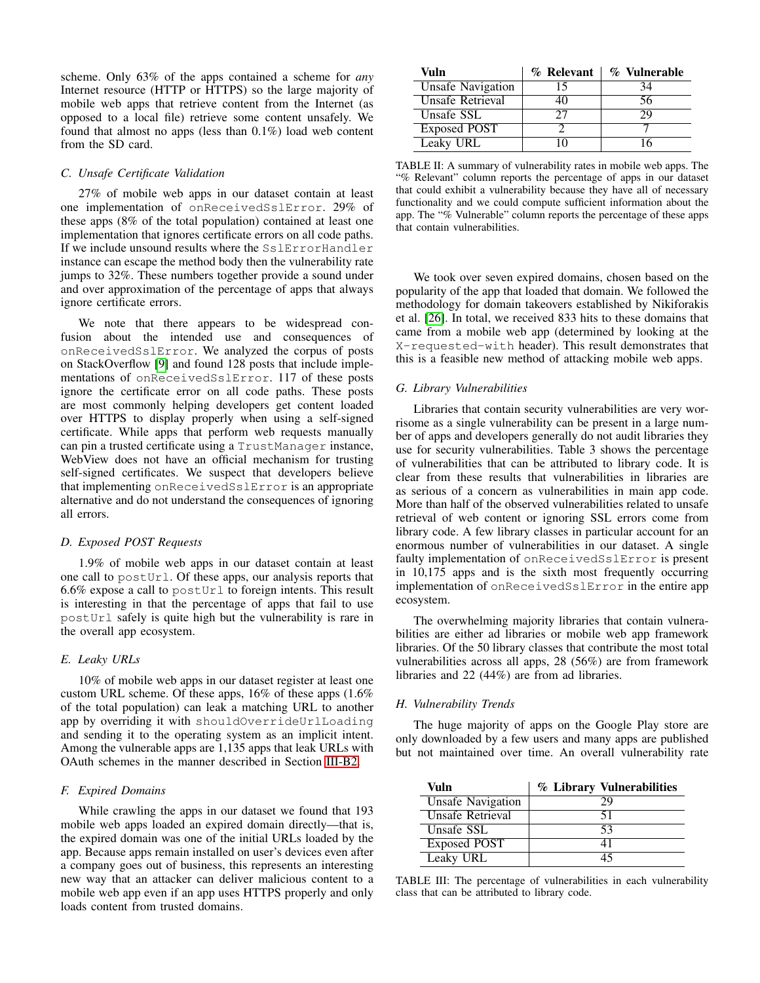scheme. Only 63% of the apps contained a scheme for *any* Internet resource (HTTP or HTTPS) so the large majority of mobile web apps that retrieve content from the Internet (as opposed to a local file) retrieve some content unsafely. We found that almost no apps (less than 0.1%) load web content from the SD card.

### *C. Unsafe Certificate Validation*

27% of mobile web apps in our dataset contain at least one implementation of onReceivedSslError. 29% of these apps (8% of the total population) contained at least one implementation that ignores certificate errors on all code paths. If we include unsound results where the SslErrorHandler instance can escape the method body then the vulnerability rate jumps to 32%. These numbers together provide a sound under and over approximation of the percentage of apps that always ignore certificate errors.

We note that there appears to be widespread confusion about the intended use and consequences of onReceivedSslError. We analyzed the corpus of posts on StackOverflow [\[9\]](#page-9-13) and found 128 posts that include implementations of onReceivedSslError. 117 of these posts ignore the certificate error on all code paths. These posts are most commonly helping developers get content loaded over HTTPS to display properly when using a self-signed certificate. While apps that perform web requests manually can pin a trusted certificate using a TrustManager instance, WebView does not have an official mechanism for trusting self-signed certificates. We suspect that developers believe that implementing onReceivedSslError is an appropriate alternative and do not understand the consequences of ignoring all errors.

### *D. Exposed POST Requests*

1.9% of mobile web apps in our dataset contain at least one call to postUrl. Of these apps, our analysis reports that  $6.6\%$  expose a call to postUrl to foreign intents. This result is interesting in that the percentage of apps that fail to use postUrl safely is quite high but the vulnerability is rare in the overall app ecosystem.

## *E. Leaky URLs*

10% of mobile web apps in our dataset register at least one custom URL scheme. Of these apps, 16% of these apps (1.6% of the total population) can leak a matching URL to another app by overriding it with shouldOverrideUrlLoading and sending it to the operating system as an implicit intent. Among the vulnerable apps are 1,135 apps that leak URLs with OAuth schemes in the manner described in Section [III-B2.](#page-3-2)

# *F. Expired Domains*

While crawling the apps in our dataset we found that 193 mobile web apps loaded an expired domain directly—that is, the expired domain was one of the initial URLs loaded by the app. Because apps remain installed on user's devices even after a company goes out of business, this represents an interesting new way that an attacker can deliver malicious content to a mobile web app even if an app uses HTTPS properly and only loads content from trusted domains.

| Vuln                     | % Relevant | % Vulnerable |
|--------------------------|------------|--------------|
| <b>Unsafe Navigation</b> | 15         | 34           |
| Unsafe Retrieval         | 10         | 56           |
| Unsafe SSL               | フフ         | 29           |
| Exposed POST             |            |              |
| Leaky URL                |            |              |

TABLE II: A summary of vulnerability rates in mobile web apps. The "% Relevant" column reports the percentage of apps in our dataset that could exhibit a vulnerability because they have all of necessary functionality and we could compute sufficient information about the app. The "% Vulnerable" column reports the percentage of these apps that contain vulnerabilities.

We took over seven expired domains, chosen based on the popularity of the app that loaded that domain. We followed the methodology for domain takeovers established by Nikiforakis et al. [\[26\]](#page-10-3). In total, we received 833 hits to these domains that came from a mobile web app (determined by looking at the X-requested-with header). This result demonstrates that this is a feasible new method of attacking mobile web apps.

# *G. Library Vulnerabilities*

Libraries that contain security vulnerabilities are very worrisome as a single vulnerability can be present in a large number of apps and developers generally do not audit libraries they use for security vulnerabilities. Table 3 shows the percentage of vulnerabilities that can be attributed to library code. It is clear from these results that vulnerabilities in libraries are as serious of a concern as vulnerabilities in main app code. More than half of the observed vulnerabilities related to unsafe retrieval of web content or ignoring SSL errors come from library code. A few library classes in particular account for an enormous number of vulnerabilities in our dataset. A single faulty implementation of onReceivedSslError is present in 10,175 apps and is the sixth most frequently occurring implementation of onReceivedSslError in the entire app ecosystem.

The overwhelming majority libraries that contain vulnerabilities are either ad libraries or mobile web app framework libraries. Of the 50 library classes that contribute the most total vulnerabilities across all apps, 28 (56%) are from framework libraries and 22 (44%) are from ad libraries.

## *H. Vulnerability Trends*

The huge majority of apps on the Google Play store are only downloaded by a few users and many apps are published but not maintained over time. An overall vulnerability rate

| Vuln                     | % Library Vulnerabilities |
|--------------------------|---------------------------|
| <b>Unsafe Navigation</b> | 29                        |
| Unsafe Retrieval         | 51                        |
| Unsafe SSL               | 53                        |
| Exposed POST             |                           |
| Leaky URL                |                           |

TABLE III: The percentage of vulnerabilities in each vulnerability class that can be attributed to library code.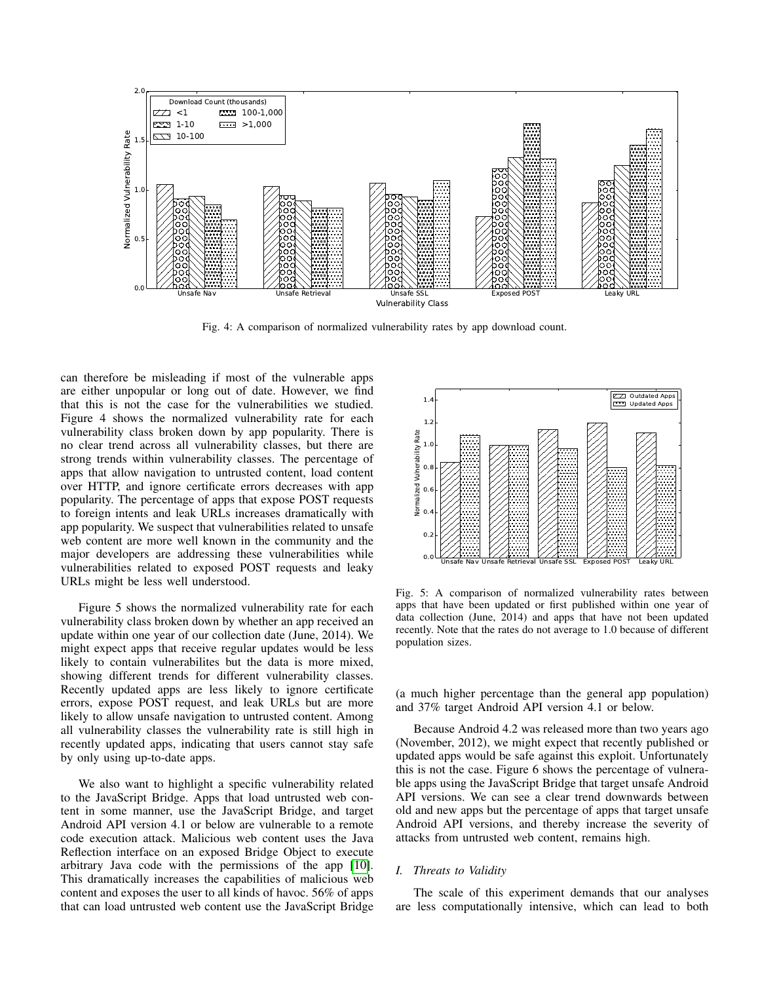

Fig. 4: A comparison of normalized vulnerability rates by app download count.

can therefore be misleading if most of the vulnerable apps are either unpopular or long out of date. However, we find that this is not the case for the vulnerabilities we studied. Figure 4 shows the normalized vulnerability rate for each vulnerability class broken down by app popularity. There is no clear trend across all vulnerability classes, but there are strong trends within vulnerability classes. The percentage of apps that allow navigation to untrusted content, load content over HTTP, and ignore certificate errors decreases with app popularity. The percentage of apps that expose POST requests to foreign intents and leak URLs increases dramatically with app popularity. We suspect that vulnerabilities related to unsafe web content are more well known in the community and the major developers are addressing these vulnerabilities while vulnerabilities related to exposed POST requests and leaky URLs might be less well understood.

Figure 5 shows the normalized vulnerability rate for each vulnerability class broken down by whether an app received an update within one year of our collection date (June, 2014). We might expect apps that receive regular updates would be less likely to contain vulnerabilites but the data is more mixed, showing different trends for different vulnerability classes. Recently updated apps are less likely to ignore certificate errors, expose POST request, and leak URLs but are more likely to allow unsafe navigation to untrusted content. Among all vulnerability classes the vulnerability rate is still high in recently updated apps, indicating that users cannot stay safe by only using up-to-date apps.

We also want to highlight a specific vulnerability related to the JavaScript Bridge. Apps that load untrusted web content in some manner, use the JavaScript Bridge, and target Android API version 4.1 or below are vulnerable to a remote code execution attack. Malicious web content uses the Java Reflection interface on an exposed Bridge Object to execute arbitrary Java code with the permissions of the app [\[10\]](#page-9-14). This dramatically increases the capabilities of malicious web content and exposes the user to all kinds of havoc. 56% of apps that can load untrusted web content use the JavaScript Bridge



Fig. 5: A comparison of normalized vulnerability rates between apps that have been updated or first published within one year of data collection (June, 2014) and apps that have not been updated recently. Note that the rates do not average to 1.0 because of different population sizes.

(a much higher percentage than the general app population) and 37% target Android API version 4.1 or below.

Because Android 4.2 was released more than two years ago (November, 2012), we might expect that recently published or updated apps would be safe against this exploit. Unfortunately this is not the case. Figure 6 shows the percentage of vulnerable apps using the JavaScript Bridge that target unsafe Android API versions. We can see a clear trend downwards between old and new apps but the percentage of apps that target unsafe Android API versions, and thereby increase the severity of attacks from untrusted web content, remains high.

#### *I. Threats to Validity*

The scale of this experiment demands that our analyses are less computationally intensive, which can lead to both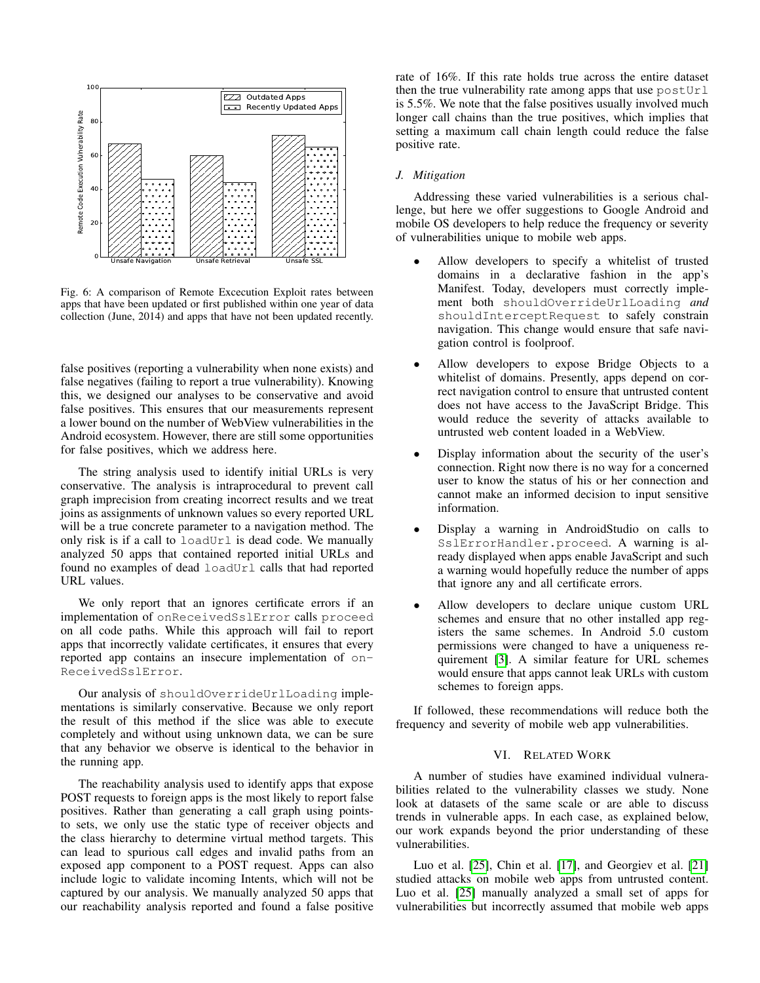

Fig. 6: A comparison of Remote Excecution Exploit rates between apps that have been updated or first published within one year of data collection (June, 2014) and apps that have not been updated recently.

false positives (reporting a vulnerability when none exists) and false negatives (failing to report a true vulnerability). Knowing this, we designed our analyses to be conservative and avoid false positives. This ensures that our measurements represent a lower bound on the number of WebView vulnerabilities in the Android ecosystem. However, there are still some opportunities for false positives, which we address here.

The string analysis used to identify initial URLs is very conservative. The analysis is intraprocedural to prevent call graph imprecision from creating incorrect results and we treat joins as assignments of unknown values so every reported URL will be a true concrete parameter to a navigation method. The only risk is if a call to loadUrl is dead code. We manually analyzed 50 apps that contained reported initial URLs and found no examples of dead loadUrl calls that had reported URL values.

We only report that an ignores certificate errors if an implementation of onReceivedSslError calls proceed on all code paths. While this approach will fail to report apps that incorrectly validate certificates, it ensures that every reported app contains an insecure implementation of on-ReceivedSslError.

Our analysis of shouldOverrideUrlLoading implementations is similarly conservative. Because we only report the result of this method if the slice was able to execute completely and without using unknown data, we can be sure that any behavior we observe is identical to the behavior in the running app.

The reachability analysis used to identify apps that expose POST requests to foreign apps is the most likely to report false positives. Rather than generating a call graph using pointsto sets, we only use the static type of receiver objects and the class hierarchy to determine virtual method targets. This can lead to spurious call edges and invalid paths from an exposed app component to a POST request. Apps can also include logic to validate incoming Intents, which will not be captured by our analysis. We manually analyzed 50 apps that our reachability analysis reported and found a false positive rate of 16%. If this rate holds true across the entire dataset then the true vulnerability rate among apps that use postUrl is 5.5%. We note that the false positives usually involved much longer call chains than the true positives, which implies that setting a maximum call chain length could reduce the false positive rate.

# *J. Mitigation*

Addressing these varied vulnerabilities is a serious challenge, but here we offer suggestions to Google Android and mobile OS developers to help reduce the frequency or severity of vulnerabilities unique to mobile web apps.

- Allow developers to specify a whitelist of trusted domains in a declarative fashion in the app's Manifest. Today, developers must correctly implement both shouldOverrideUrlLoading *and* shouldInterceptRequest to safely constrain navigation. This change would ensure that safe navigation control is foolproof.
- Allow developers to expose Bridge Objects to a whitelist of domains. Presently, apps depend on correct navigation control to ensure that untrusted content does not have access to the JavaScript Bridge. This would reduce the severity of attacks available to untrusted web content loaded in a WebView.
- Display information about the security of the user's connection. Right now there is no way for a concerned user to know the status of his or her connection and cannot make an informed decision to input sensitive information.
- Display a warning in AndroidStudio on calls to SslErrorHandler.proceed. A warning is already displayed when apps enable JavaScript and such a warning would hopefully reduce the number of apps that ignore any and all certificate errors.
- Allow developers to declare unique custom URL schemes and ensure that no other installed app registers the same schemes. In Android 5.0 custom permissions were changed to have a uniqueness requirement [\[3\]](#page-9-15). A similar feature for URL schemes would ensure that apps cannot leak URLs with custom schemes to foreign apps.

If followed, these recommendations will reduce both the frequency and severity of mobile web app vulnerabilities.

# VI. RELATED WORK

<span id="page-8-0"></span>A number of studies have examined individual vulnerabilities related to the vulnerability classes we study. None look at datasets of the same scale or are able to discuss trends in vulnerable apps. In each case, as explained below, our work expands beyond the prior understanding of these vulnerabilities.

Luo et al. [\[25\]](#page-10-4), Chin et al. [\[17\]](#page-10-1), and Georgiev et al. [\[21\]](#page-10-5) studied attacks on mobile web apps from untrusted content. Luo et al. [\[25\]](#page-10-4) manually analyzed a small set of apps for vulnerabilities but incorrectly assumed that mobile web apps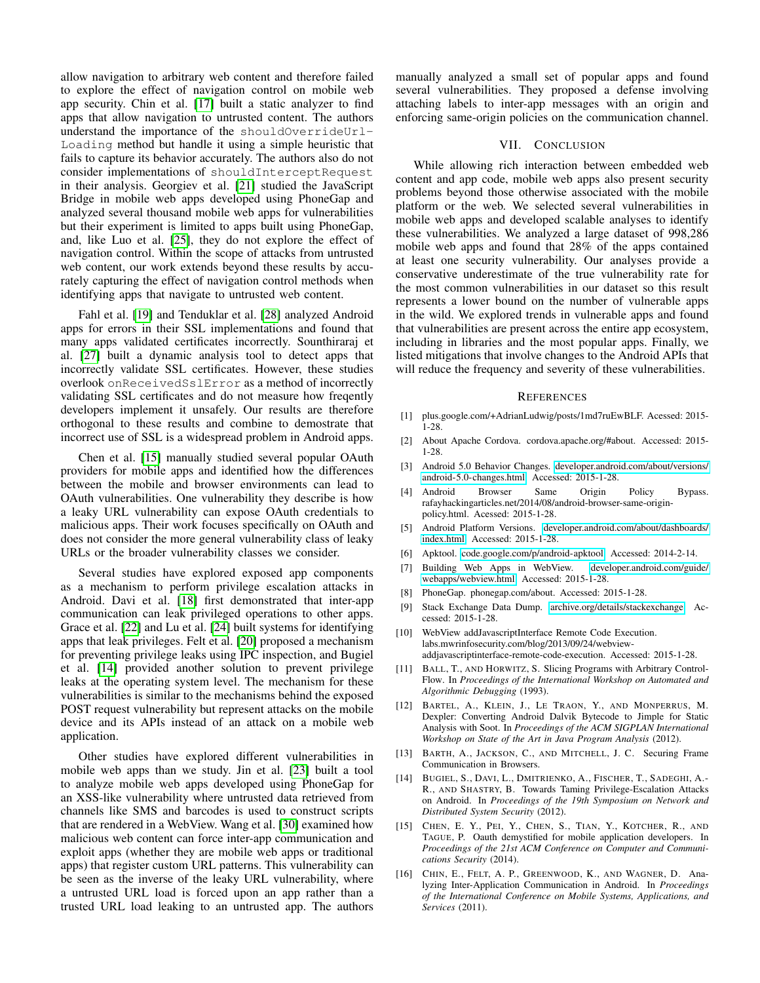allow navigation to arbitrary web content and therefore failed to explore the effect of navigation control on mobile web app security. Chin et al. [\[17\]](#page-10-1) built a static analyzer to find apps that allow navigation to untrusted content. The authors understand the importance of the shouldOverrideUrl-Loading method but handle it using a simple heuristic that fails to capture its behavior accurately. The authors also do not consider implementations of shouldInterceptRequest in their analysis. Georgiev et al. [\[21\]](#page-10-5) studied the JavaScript Bridge in mobile web apps developed using PhoneGap and analyzed several thousand mobile web apps for vulnerabilities but their experiment is limited to apps built using PhoneGap, and, like Luo et al. [\[25\]](#page-10-4), they do not explore the effect of navigation control. Within the scope of attacks from untrusted web content, our work extends beyond these results by accurately capturing the effect of navigation control methods when identifying apps that navigate to untrusted web content.

Fahl et al. [\[19\]](#page-10-6) and Tenduklar et al. [\[28\]](#page-10-7) analyzed Android apps for errors in their SSL implementations and found that many apps validated certificates incorrectly. Sounthiraraj et al. [\[27\]](#page-10-8) built a dynamic analysis tool to detect apps that incorrectly validate SSL certificates. However, these studies overlook onReceivedSslError as a method of incorrectly validating SSL certificates and do not measure how freqently developers implement it unsafely. Our results are therefore orthogonal to these results and combine to demostrate that incorrect use of SSL is a widespread problem in Android apps.

Chen et al. [\[15\]](#page-9-9) manually studied several popular OAuth providers for mobile apps and identified how the differences between the mobile and browser environments can lead to OAuth vulnerabilities. One vulnerability they describe is how a leaky URL vulnerability can expose OAuth credentials to malicious apps. Their work focuses specifically on OAuth and does not consider the more general vulnerability class of leaky URLs or the broader vulnerability classes we consider.

Several studies have explored exposed app components as a mechanism to perform privilege escalation attacks in Android. Davi et al. [\[18\]](#page-10-9) first demonstrated that inter-app communication can leak privileged operations to other apps. Grace et al. [\[22\]](#page-10-10) and Lu et al. [\[24\]](#page-10-11) built systems for identifying apps that leak privileges. Felt et al. [\[20\]](#page-10-12) proposed a mechanism for preventing privilege leaks using IPC inspection, and Bugiel et al. [\[14\]](#page-9-16) provided another solution to prevent privilege leaks at the operating system level. The mechanism for these vulnerabilities is similar to the mechanisms behind the exposed POST request vulnerability but represent attacks on the mobile device and its APIs instead of an attack on a mobile web application.

Other studies have explored different vulnerabilities in mobile web apps than we study. Jin et al. [\[23\]](#page-10-13) built a tool to analyze mobile web apps developed using PhoneGap for an XSS-like vulnerability where untrusted data retrieved from channels like SMS and barcodes is used to construct scripts that are rendered in a WebView. Wang et al. [\[30\]](#page-10-14) examined how malicious web content can force inter-app communication and exploit apps (whether they are mobile web apps or traditional apps) that register custom URL patterns. This vulnerability can be seen as the inverse of the leaky URL vulnerability, where a untrusted URL load is forced upon an app rather than a trusted URL load leaking to an untrusted app. The authors manually analyzed a small set of popular apps and found several vulnerabilities. They proposed a defense involving attaching labels to inter-app messages with an origin and enforcing same-origin policies on the communication channel.

## VII. CONCLUSION

<span id="page-9-2"></span>While allowing rich interaction between embedded web content and app code, mobile web apps also present security problems beyond those otherwise associated with the mobile platform or the web. We selected several vulnerabilities in mobile web apps and developed scalable analyses to identify these vulnerabilities. We analyzed a large dataset of 998,286 mobile web apps and found that 28% of the apps contained at least one security vulnerability. Our analyses provide a conservative underestimate of the true vulnerability rate for the most common vulnerabilities in our dataset so this result represents a lower bound on the number of vulnerable apps in the wild. We explored trends in vulnerable apps and found that vulnerabilities are present across the entire app ecosystem, including in libraries and the most popular apps. Finally, we listed mitigations that involve changes to the Android APIs that will reduce the frequency and severity of these vulnerabilities.

#### **REFERENCES**

- <span id="page-9-7"></span>[1] plus.google.com/+AdrianLudwig/posts/1md7ruEwBLF. Acessed: 2015- 1-28.
- <span id="page-9-0"></span>[2] About Apache Cordova. cordova.apache.org/#about. Accessed: 2015- 1-28.
- <span id="page-9-15"></span>[3] Android 5.0 Behavior Changes. [developer.android.com/about/versions/](developer.android.com/about/versions/android-5.0-changes.html) [android-5.0-changes.html.](developer.android.com/about/versions/android-5.0-changes.html) Accessed: 2015-1-28.
- <span id="page-9-6"></span>[4] Android Browser Same Origin Policy Bypass. rafayhackingarticles.net/2014/08/android-browser-same-originpolicy.html. Acessed: 2015-1-28.
- <span id="page-9-8"></span>[5] Android Platform Versions. [developer.android.com/about/dashboards/](developer.android.com/about/dashboards/index.html) [index.html.](developer.android.com/about/dashboards/index.html) Accessed: 2015-1-28.
- <span id="page-9-11"></span>[6] Apktool. [code.google.com/p/android-apktool.](code.google.com/p/android-apktool) Accessed: 2014-2-14.
- <span id="page-9-4"></span>[7] Building Web Apps in WebView. [developer.android.com/guide/](developer.android.com/guide/webapps/webview.html) [webapps/webview.html.](developer.android.com/guide/webapps/webview.html) Accessed: 2015-1-28.
- <span id="page-9-1"></span>[8] PhoneGap. phonegap.com/about. Accessed: 2015-1-28.
- <span id="page-9-13"></span>[9] Stack Exchange Data Dump. [archive.org/details/stackexchange.](archive.org/details/stackexchange) Accessed: 2015-1-28.
- <span id="page-9-14"></span>[10] WebView addJavascriptInterface Remote Code Execution. labs.mwrinfosecurity.com/blog/2013/09/24/webviewaddjavascriptinterface-remote-code-execution. Accessed: 2015-1-28.
- <span id="page-9-12"></span>[11] BALL, T., AND HORWITZ, S. Slicing Programs with Arbitrary Control-Flow. In *Proceedings of the International Workshop on Automated and Algorithmic Debugging* (1993).
- <span id="page-9-10"></span>[12] BARTEL, A., KLEIN, J., LE TRAON, Y., AND MONPERRUS, M. Dexpler: Converting Android Dalvik Bytecode to Jimple for Static Analysis with Soot. In *Proceedings of the ACM SIGPLAN International Workshop on State of the Art in Java Program Analysis* (2012).
- <span id="page-9-5"></span>[13] BARTH, A., JACKSON, C., AND MITCHELL, J. C. Securing Frame Communication in Browsers.
- <span id="page-9-16"></span>[14] BUGIEL, S., DAVI, L., DMITRIENKO, A., FISCHER, T., SADEGHI, A.- R., AND SHASTRY, B. Towards Taming Privilege-Escalation Attacks on Android. In *Proceedings of the 19th Symposium on Network and Distributed System Security* (2012).
- <span id="page-9-9"></span>[15] CHEN, E. Y., PEI, Y., CHEN, S., TIAN, Y., KOTCHER, R., AND TAGUE, P. Oauth demystified for mobile application developers. In *Proceedings of the 21st ACM Conference on Computer and Communications Security* (2014).
- <span id="page-9-3"></span>[16] CHIN, E., FELT, A. P., GREENWOOD, K., AND WAGNER, D. Analyzing Inter-Application Communication in Android. In *Proceedings of the International Conference on Mobile Systems, Applications, and Services* (2011).